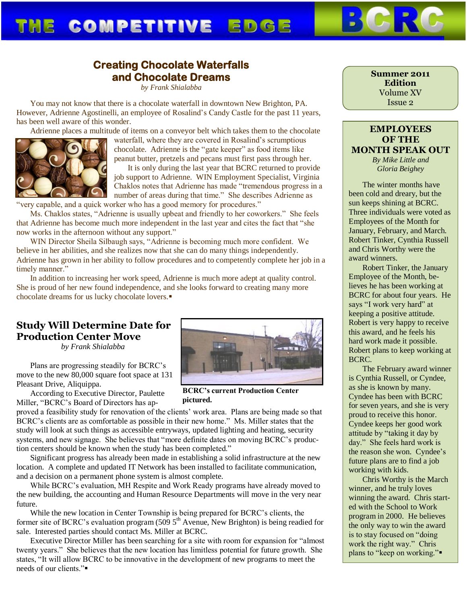# THE COMPETITIVE EDGE

### **Creating Chocolate Waterfalls and Chocolate Dreams**

*by Frank Shialabba*

You may not know that there is a chocolate waterfall in downtown New Brighton, PA. However, Adrienne Agostinelli, an employee of Rosalind's Candy Castle for the past 11 years, has been well aware of this wonder.

Adrienne places a multitude of items on a conveyor belt which takes them to the chocolate



waterfall, where they are covered in Rosalind's scrumptious chocolate. Adrienne is the "gate keeper" as food items like peanut butter, pretzels and pecans must first pass through her.

It is only during the last year that BCRC returned to provide job support to Adrienne. WIN Employment Specialist, Virginia Chaklos notes that Adrienne has made "tremendous progress in a number of areas during that time." She describes Adrienne as "very capable, and a quick worker who has a good memory for procedures."

Ms. Chaklos states, "Adrienne is usually upbeat and friendly to her coworkers." She feels that Adrienne has become much more independent in the last year and cites the fact that "she now works in the afternoon without any support."

WIN Director Sheila Silbaugh says, "Adrienne is becoming much more confident. We believe in her abilities, and she realizes now that she can do many things independently. Adrienne has grown in her ability to follow procedures and to competently complete her job in a timely manner."

In addition to increasing her work speed, Adrienne is much more adept at quality control. She is proud of her new found independence, and she looks forward to creating many more chocolate dreams for us lucky chocolate lovers.

### **Study Will Determine Date for Production Center Move**

*by Frank Shialabba*

Plans are progressing steadily for BCRC's move to the new 80,000 square foot space at 131 Pleasant Drive, Aliquippa.

According to Executive Director, Paulette Miller, "BCRC's Board of Directors has ap-

proved a feasibility study for renovation of the clients' work area. Plans are being made so that BCRC's clients are as comfortable as possible in their new home." Ms. Miller states that the study will look at such things as accessible entryways, updated lighting and heating, security systems, and new signage. She believes that "more definite dates on moving BCRC's production centers should be known when the study has been completed."

Significant progress has already been made in establishing a solid infrastructure at the new location. A complete and updated IT Network has been installed to facilitate communication, and a decision on a permanent phone system is almost complete.

While BCRC's evaluation, MH Respite and Work Ready programs have already moved to the new building, the accounting and Human Resource Departments will move in the very near future.

While the new location in Center Township is being prepared for BCRC's clients, the former site of BCRC's evaluation program  $(509\,5^{\text{th}}$  Avenue, New Brighton) is being readied for sale. Interested parties should contact Ms. Miller at BCRC.

Executive Director Miller has been searching for a site with room for expansion for "almost twenty years." She believes that the new location has limitless potential for future growth. She states, "It will allow BCRC to be innovative in the development of new programs to meet the needs of our clients."

**Summer 2011 Edition** Volume XV Issue 2

### **EMPLOYEES OF THE MONTH SPEAK OUT**

*By Mike Little and Gloria Beighey*

The winter months have been cold and dreary, but the sun keeps shining at BCRC. Three individuals were voted as Employees of the Month for January, February, and March. Robert Tinker, Cynthia Russell and Chris Worthy were the award winners.

Robert Tinker, the January Employee of the Month, believes he has been working at BCRC for about four years. He says "I work very hard" at keeping a positive attitude. Robert is very happy to receive this award, and he feels his hard work made it possible. Robert plans to keep working at BCRC.

The February award winner is Cynthia Russell, or Cyndee, as she is known by many. Cyndee has been with BCRC for seven years, and she is very proud to receive this honor. Cyndee keeps her good work attitude by "taking it day by day." She feels hard work is the reason she won. Cyndee's future plans are to find a job working with kids.

Chris Worthy is the March winner, and he truly loves winning the award. Chris started with the School to Work program in 2000. He believes the only way to win the award is to stay focused on "doing work the right way." Chris plans to "keep on working."



**BCRC's current Production Center pictured.**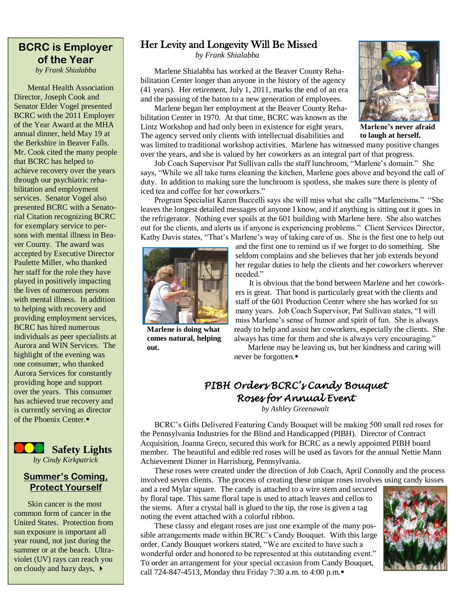## **BCRC is Employer of the Year**

*by Frank Shialabba*

Mental Health Association Director, Joseph Cook and Senator Elder Vogel presented BCRC with the 2011 Employer of the Year Award at the MHA annual dinner, held May 19 at the Berkshire in Beaver Falls. Mr. Cook cited the many people that BCRC has helped to achieve recovery over the years through our psychiatric rehabilitation and employment services. Senator Vogel also presented BCRC with a Senatorial Citation recognizing BCRC for exemplary service to persons with mental illness in Beaver County. The award was accepted by Executive Director Paulette Miller, who thanked her staff for the role they have played in positively impacting the lives of numerous persons with mental illness. In addition to helping with recovery and providing employment services, BCRC has hired numerous individuals as peer specialists at Aurora and WIN Services. The highlight of the evening was one consumer, who thanked Aurora Services for constantly providing hope and support over the years. This consumer has achieved true recovery and is currently serving as director of the Phoenix Center.



#### **Summer's Coming, Protect Yourself**

Skin cancer is the most common form of cancer in the United States. Protection from sun exposure is important all year round, not just during the summer or at the beach. Ultraviolet (UV) rays can reach you on cloudy and hazy days,  $\rightarrow$ 

#### Her Levity and Longevity Will Be Missed

*by Frank Shialabba*

Marlene Shialabba has worked at the Beaver County Rehabilitation Center longer than anyone in the history of the agency (41 years). Her retirement, July 1, 2011, marks the end of an era and the passing of the baton to a new generation of employees.

Marlene began her employment at the Beaver County Rehabilitation Center in 1970. At that time, BCRC was known as the Lintz Workshop and had only been in existence for eight years. The agency served only clients with intellectual disabilities and was limited to traditional workshop activities. Marlene has witnessed many positive changes

**Marlene's never afraid to laugh at herself.**

over the years, and she is valued by her coworkers as an integral part of that progress. Job Coach Supervisor Pat Sullivan calls the staff lunchroom, "Marlene's domain." She says, "While we all take turns cleaning the kitchen, Marlene goes above and beyond the call of duty. In addition to making sure the lunchroom is spotless, she makes sure there is plenty of iced tea and coffee for her coworkers."

Program Specialist Karen Buccelli says she will miss what she calls "Marleneisms." "She leaves the longest detailed messages of anyone I know, and if anything is sitting out it goes in the refrigerator. Nothing ever spoils at the 601 building with Marlene here. She also watches out for the clients, and alerts us if anyone is experiencing problems." Client Services Director, Kathy Davis states, "That's Marlene's way of taking care of us. She is the first one to help out



**Marlene is doing what comes natural, helping out.**

and the first one to remind us if we forget to do something. She seldom complains and she believes that her job extends beyond her regular duties to help the clients and her coworkers wherever needed."

It is obvious that the bond between Marlene and her coworkers is great. That bond is particularly great with the clients and staff of the 601 Production Center where she has worked for so many years. Job Coach Supervisor, Pat Sullivan states, "I will miss Marlene's sense of humor and spirit of fun. She is always ready to help and assist her coworkers, especially the clients. She always has time for them and she is always very encouraging."

Marlene may be leaving us, but her kindness and caring will never be forgotten.

### *PIBH Orders BCRC's Candy Bouquet Roses for Annual Event*

*by Ashley Greenawalt*

BCRC's Gifts Delivered Featuring Candy Bouquet will be making 500 small red roses for the Pennsylvania Industries for the Blind and Handicapped (PIBH). Director of Contract Acquisition, Joanna Greco, secured this work for BCRC as a newly appointed PIBH board member. The beautiful and edible red roses will be used as favors for the annual Nettie Mann Achievement Dinner in Harrisburg, Pennsylvania.

These roses were created under the direction of Job Coach, April Connolly and the process involved seven clients. The process of creating these unique roses involves using candy kisses

and a red Mylar square. The candy is attached to a wire stem and secured by floral tape. This same floral tape is used to attach leaves and cellos to the stems. After a crystal ball is glued to the tip, the rose is given a tag noting the event attached with a colorful ribbon.

These classy and elegant roses are just one example of the many possible arrangements made within BCRC's Candy Bouquet. With this large order, Candy Bouquet workers stated, "We are excited to have such a wonderful order and honored to be represented at this outstanding event." To order an arrangement for your special occasion from Candy Bouquet, call 724-847-4513, Monday thru Friday 7:30 a.m. to 4:00 p.m.



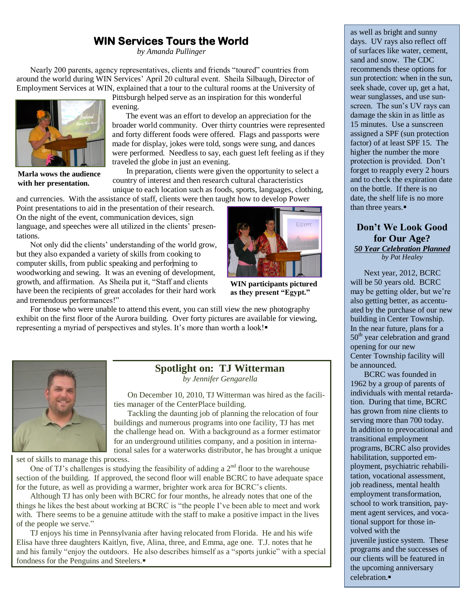### **WIN Services Tours the World**

*by Amanda Pullinger*

Nearly 200 parents, agency representatives, clients and friends "toured" countries from around the world during WIN Services' April 20 cultural event. Sheila Silbaugh, Director of Employment Services at WIN, explained that a tour to the cultural rooms at the University of



**Marla wows the audience with her presentation.**

Pittsburgh helped serve as an inspiration for this wonderful evening.

The event was an effort to develop an appreciation for the broader world community. Over thirty countries were represented and forty different foods were offered. Flags and passports were made for display, jokes were told, songs were sung, and dances were performed. Needless to say, each guest left feeling as if they traveled the globe in just an evening.

In preparation, clients were given the opportunity to select a country of interest and then research cultural characteristics

unique to each location such as foods, sports, languages, clothing, and currencies. With the assistance of staff, clients were then taught how to develop Power

Point presentations to aid in the presentation of their research. On the night of the event, communication devices, sign language, and speeches were all utilized in the clients' presentations.

Not only did the clients' understanding of the world grow, but they also expanded a variety of skills from cooking to computer skills, from public speaking and performing to woodworking and sewing. It was an evening of development, growth, and affirmation. As Sheila put it, "Staff and clients have been the recipients of great accolades for their hard work and tremendous performances!"



**WIN participants pictured as they present "Egypt."**

For those who were unable to attend this event, you can still view the new photography exhibit on the first floor of the Aurora building. Over forty pictures are available for viewing, representing a myriad of perspectives and styles. It's more than worth a look!



### **Spotlight on: TJ Witterman**

*by Jennifer Gengarella*

On December 10, 2010, TJ Witterman was hired as the facilities manager of the CenterPlace building.

Tackling the daunting job of planning the relocation of four buildings and numerous programs into one facility, TJ has met the challenge head on. With a background as a former estimator for an underground utilities company, and a position in international sales for a waterworks distributor, he has brought a unique

set of skills to manage this process.

One of TJ's challenges is studying the feasibility of adding a  $2<sup>nd</sup>$  floor to the warehouse section of the building. If approved, the second floor will enable BCRC to have adequate space for the future, as well as providing a warmer, brighter work area for BCRC's clients.

Although TJ has only been with BCRC for four months, he already notes that one of the things he likes the best about working at BCRC is "the people I've been able to meet and work with. There seems to be a genuine attitude with the staff to make a positive impact in the lives of the people we serve."

TJ enjoys his time in Pennsylvania after having relocated from Florida. He and his wife Elisa have three daughters Kaitlyn, five, Alina, three, and Emma, age one. T.J. notes that he and his family "enjoy the outdoors. He also describes himself as a "sports junkie" with a special fondness for the Penguins and Steelers.

as well as bright and sunny days. UV rays also reflect off of surfaces like water, cement, sand and snow. The CDC recommends these options for sun protection: when in the sun, seek shade, cover up, get a hat, wear sunglasses, and use sunscreen. The sun's UV rays can damage the skin in as little as 15 minutes. Use a sunscreen assigned a SPF (sun protection factor) of at least SPF 15. The higher the number the more protection is provided. Don't forget to reapply every 2 hours and to check the expiration date on the bottle. If there is no date, the shelf life is no more than three years.

#### **Don't We Look Good for Our Age?** *50 Year Celebration Planned by Pat Healey*

Next year, 2012, BCRC will be 50 years old. BCRC may be getting older, but we're also getting better, as accentuated by the purchase of our new building in Center Township. In the near future, plans for a 50<sup>th</sup> year celebration and grand opening for our new Center Township facility will be announced.

BCRC was founded in 1962 by a group of parents of individuals with mental retardation. During that time, BCRC has grown from nine clients to serving more than 700 today. In addition to prevocational and transitional employment programs, BCRC also provides habilitation, supported employment, psychiatric rehabilitation, vocational assessment, job readiness, mental health employment transformation, school to work transition, payment agent services, and vocational support for those involved with the juvenile justice system. These programs and the successes of our clients will be featured in the upcoming anniversary celebration.